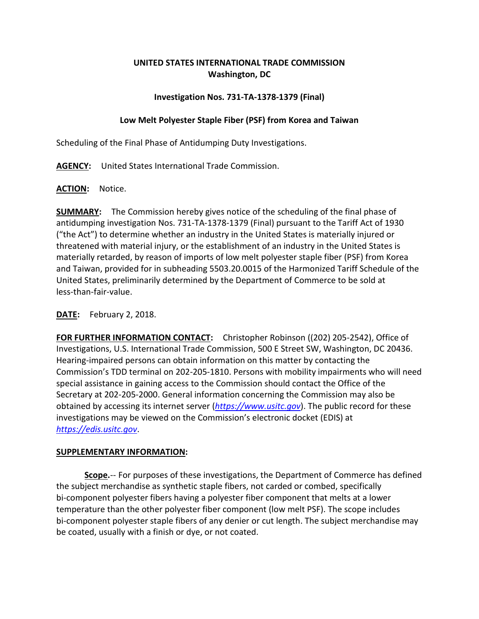# **UNITED STATES INTERNATIONAL TRADE COMMISSION Washington, DC**

## **Investigation Nos. 731-TA-1378-1379 (Final)**

### **Low Melt Polyester Staple Fiber (PSF) from Korea and Taiwan**

Scheduling of the Final Phase of Antidumping Duty Investigations.

**AGENCY:** United States International Trade Commission.

**ACTION:** Notice.

**SUMMARY:** The Commission hereby gives notice of the scheduling of the final phase of antidumping investigation Nos. 731-TA-1378-1379 (Final) pursuant to the Tariff Act of 1930 ("the Act") to determine whether an industry in the United States is materially injured or threatened with material injury, or the establishment of an industry in the United States is materially retarded, by reason of imports of low melt polyester staple fiber (PSF) from Korea and Taiwan, provided for in subheading 5503.20.0015 of the Harmonized Tariff Schedule of the United States, preliminarily determined by the Department of Commerce to be sold at less-than-fair-value.

## **DATE:** February 2, 2018.

**FOR FURTHER INFORMATION CONTACT:** Christopher Robinson ((202) 205-2542), Office of Investigations, U.S. International Trade Commission, 500 E Street SW, Washington, DC 20436. Hearing-impaired persons can obtain information on this matter by contacting the Commission's TDD terminal on 202-205-1810. Persons with mobility impairments who will need special assistance in gaining access to the Commission should contact the Office of the Secretary at 202-205-2000. General information concerning the Commission may also be obtained by accessing its internet server (*[https://www.usitc.gov](https://www.usitc.gov/)*). The public record for these investigations may be viewed on the Commission's electronic docket (EDIS) at *[https://edis.usitc.gov](https://edis.usitc.gov/)*.

#### **SUPPLEMENTARY INFORMATION:**

**Scope.**-- For purposes of these investigations, the Department of Commerce has defined the subject merchandise as synthetic staple fibers, not carded or combed, specifically bi-component polyester fibers having a polyester fiber component that melts at a lower temperature than the other polyester fiber component (low melt PSF). The scope includes bi-component polyester staple fibers of any denier or cut length. The subject merchandise may be coated, usually with a finish or dye, or not coated.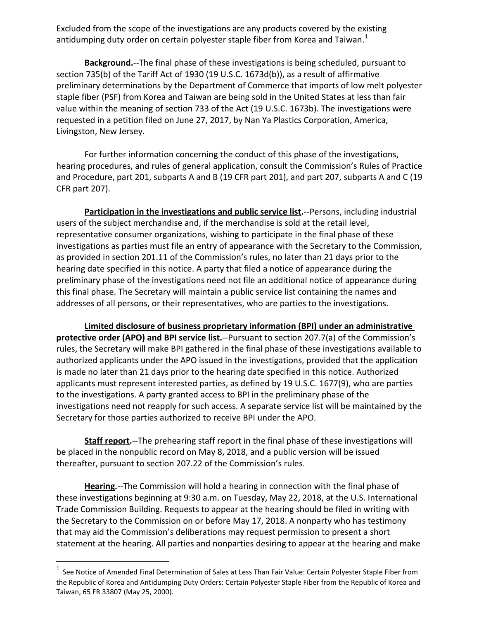Excluded from the scope of the investigations are any products covered by the existing antidumping duty order on certain polyester staple fiber from Korea and Taiwan.<sup>[1](#page-1-0)</sup>

**Background.**--The final phase of these investigations is being scheduled, pursuant to section 735(b) of the Tariff Act of 1930 (19 U.S.C. 1673d(b)), as a result of affirmative preliminary determinations by the Department of Commerce that imports of low melt polyester staple fiber (PSF) from Korea and Taiwan are being sold in the United States at less than fair value within the meaning of section 733 of the Act (19 U.S.C. 1673b). The investigations were requested in a petition filed on June 27, 2017, by Nan Ya Plastics Corporation, America, Livingston, New Jersey.

For further information concerning the conduct of this phase of the investigations, hearing procedures, and rules of general application, consult the Commission's Rules of Practice and Procedure, part 201, subparts A and B (19 CFR part 201), and part 207, subparts A and C (19 CFR part 207).

**Participation in the investigations and public service list.**--Persons, including industrial users of the subject merchandise and, if the merchandise is sold at the retail level, representative consumer organizations, wishing to participate in the final phase of these investigations as parties must file an entry of appearance with the Secretary to the Commission, as provided in section 201.11 of the Commission's rules, no later than 21 days prior to the hearing date specified in this notice. A party that filed a notice of appearance during the preliminary phase of the investigations need not file an additional notice of appearance during this final phase. The Secretary will maintain a public service list containing the names and addresses of all persons, or their representatives, who are parties to the investigations.

**Limited disclosure of business proprietary information (BPI) under an administrative protective order (APO) and BPI service list.**--Pursuant to section 207.7(a) of the Commission's rules, the Secretary will make BPI gathered in the final phase of these investigations available to authorized applicants under the APO issued in the investigations, provided that the application is made no later than 21 days prior to the hearing date specified in this notice. Authorized applicants must represent interested parties, as defined by 19 U.S.C. 1677(9), who are parties to the investigations. A party granted access to BPI in the preliminary phase of the investigations need not reapply for such access. A separate service list will be maintained by the Secretary for those parties authorized to receive BPI under the APO.

**Staff report.**--The prehearing staff report in the final phase of these investigations will be placed in the nonpublic record on May 8, 2018, and a public version will be issued thereafter, pursuant to section 207.22 of the Commission's rules.

**Hearing.**--The Commission will hold a hearing in connection with the final phase of these investigations beginning at 9:30 a.m. on Tuesday, May 22, 2018, at the U.S. International Trade Commission Building. Requests to appear at the hearing should be filed in writing with the Secretary to the Commission on or before May 17, 2018. A nonparty who has testimony that may aid the Commission's deliberations may request permission to present a short statement at the hearing. All parties and nonparties desiring to appear at the hearing and make

<span id="page-1-0"></span><sup>1</sup> See Notice of Amended Final Determination of Sales at Less Than Fair Value: Certain Polyester Staple Fiber from the Republic of Korea and Antidumping Duty Orders: Certain Polyester Staple Fiber from the Republic of Korea and Taiwan, 65 FR 33807 (May 25, 2000).